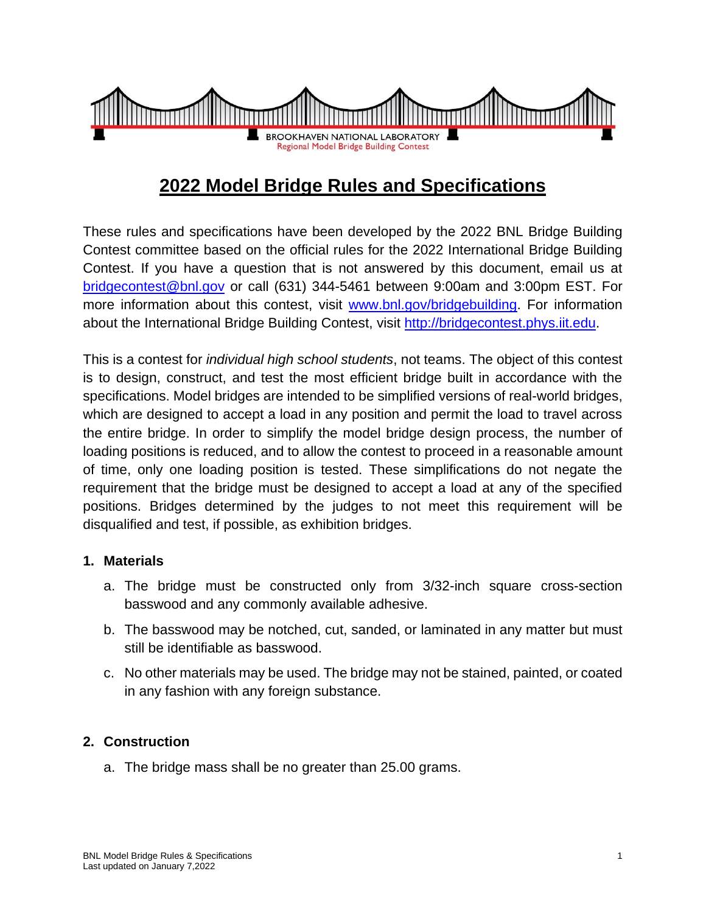

# **2022 Model Bridge Rules and Specifications**

These rules and specifications have been developed by the 2022 BNL Bridge Building Contest committee based on the official rules for the 2022 International Bridge Building Contest. If you have a question that is not answered by this document, email us at [bridgecontest@bnl.gov](mailto:bridgecontest@bnl.gov) or call (631) 344-5461 between 9:00am and 3:00pm EST. For more information about this contest, visit [www.bnl.gov/bridgebuilding.](http://www.bnl.gov/bridgebuilding) For information about the International Bridge Building Contest, visit [http://bridgecontest.phys.iit.edu.](http://bridgecontest.phys.iit.edu/)

This is a contest for *individual high school students*, not teams. The object of this contest is to design, construct, and test the most efficient bridge built in accordance with the specifications. Model bridges are intended to be simplified versions of real-world bridges, which are designed to accept a load in any position and permit the load to travel across the entire bridge. In order to simplify the model bridge design process, the number of loading positions is reduced, and to allow the contest to proceed in a reasonable amount of time, only one loading position is tested. These simplifications do not negate the requirement that the bridge must be designed to accept a load at any of the specified positions. Bridges determined by the judges to not meet this requirement will be disqualified and test, if possible, as exhibition bridges.

#### **1. Materials**

- a. The bridge must be constructed only from 3/32-inch square cross-section basswood and any commonly available adhesive.
- b. The basswood may be notched, cut, sanded, or laminated in any matter but must still be identifiable as basswood.
- c. No other materials may be used. The bridge may not be stained, painted, or coated in any fashion with any foreign substance.

## **2. Construction**

a. The bridge mass shall be no greater than 25.00 grams.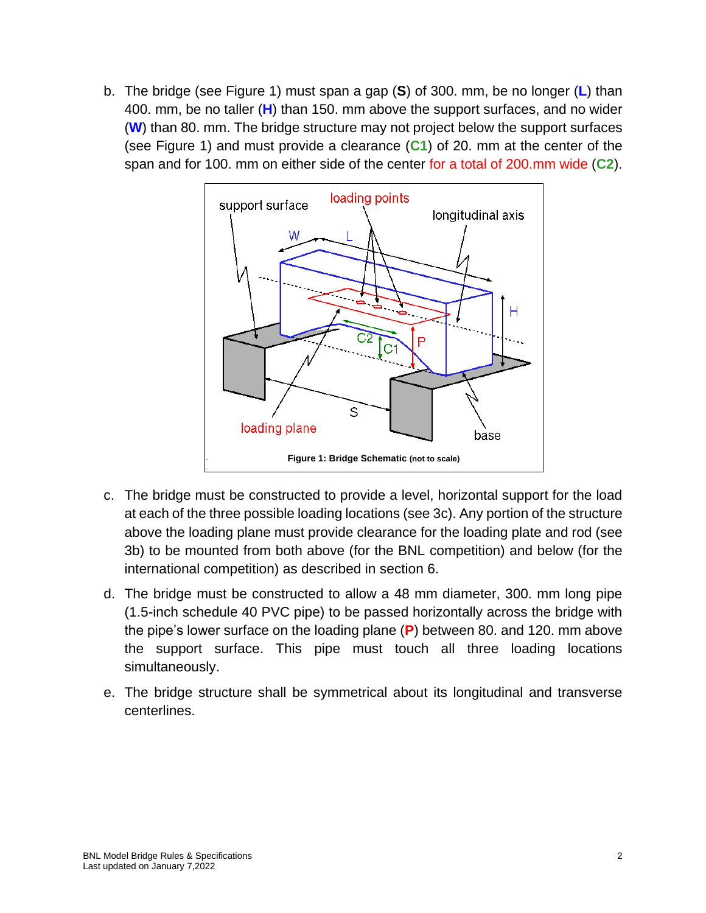b. The bridge (see Figure 1) must span a gap (**S**) of 300. mm, be no longer (**L**) than 400. mm, be no taller (**H**) than 150. mm above the support surfaces, and no wider (**W**) than 80. mm. The bridge structure may not project below the support surfaces (see Figure 1) and must provide a clearance (**C1**) of 20. mm at the center of the span and for 100. mm on either side of the center for a total of 200.mm wide (**C2**).



- c. The bridge must be constructed to provide a level, horizontal support for the load at each of the three possible loading locations (see 3c). Any portion of the structure above the loading plane must provide clearance for the loading plate and rod (see 3b) to be mounted from both above (for the BNL competition) and below (for the international competition) as described in section 6.
- d. The bridge must be constructed to allow a 48 mm diameter, 300. mm long pipe (1.5-inch schedule 40 PVC pipe) to be passed horizontally across the bridge with the pipe's lower surface on the loading plane (**P**) between 80. and 120. mm above the support surface. This pipe must touch all three loading locations simultaneously.
- e. The bridge structure shall be symmetrical about its longitudinal and transverse centerlines.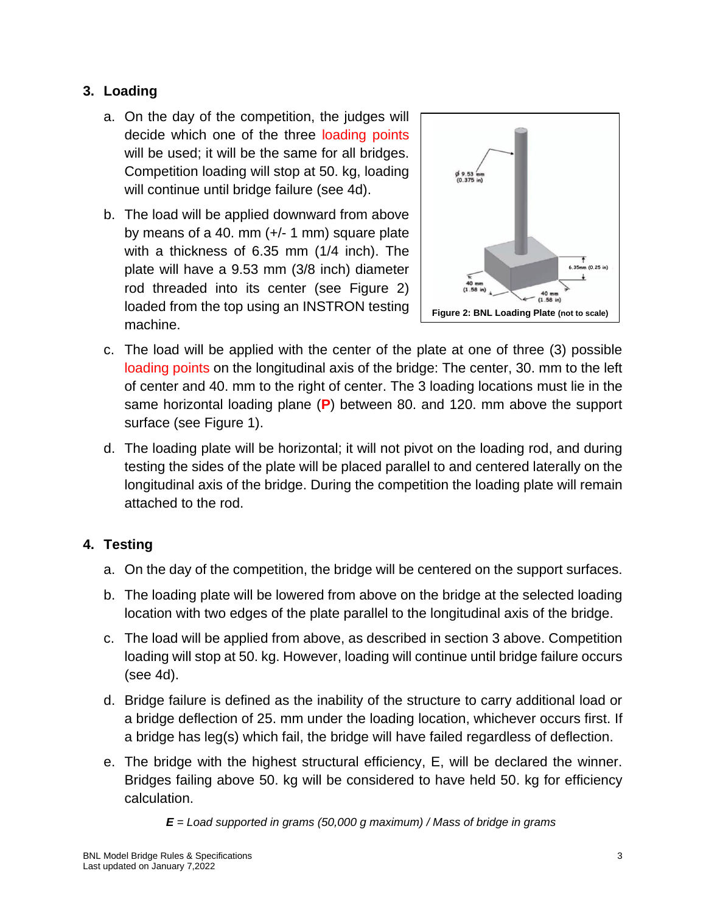## **3. Loading**

- a. On the day of the competition, the judges will decide which one of the three loading points will be used; it will be the same for all bridges. Competition loading will stop at 50. kg, loading will continue until bridge failure (see 4d).
- b. The load will be applied downward from above by means of a 40. mm (+/- 1 mm) square plate with a thickness of 6.35 mm (1/4 inch). The plate will have a 9.53 mm (3/8 inch) diameter rod threaded into its center (see Figure 2) loaded from the top using an INSTRON testing machine.



- c. The load will be applied with the center of the plate at one of three (3) possible loading points on the longitudinal axis of the bridge: The center, 30. mm to the left of center and 40. mm to the right of center. The 3 loading locations must lie in the same horizontal loading plane (**P**) between 80. and 120. mm above the support surface (see Figure 1).
- d. The loading plate will be horizontal; it will not pivot on the loading rod, and during testing the sides of the plate will be placed parallel to and centered laterally on the longitudinal axis of the bridge. During the competition the loading plate will remain attached to the rod.

## **4. Testing**

- a. On the day of the competition, the bridge will be centered on the support surfaces.
- b. The loading plate will be lowered from above on the bridge at the selected loading location with two edges of the plate parallel to the longitudinal axis of the bridge.
- c. The load will be applied from above, as described in section 3 above. Competition loading will stop at 50. kg. However, loading will continue until bridge failure occurs (see 4d).
- d. Bridge failure is defined as the inability of the structure to carry additional load or a bridge deflection of 25. mm under the loading location, whichever occurs first. If a bridge has leg(s) which fail, the bridge will have failed regardless of deflection.
- e. The bridge with the highest structural efficiency, E, will be declared the winner. Bridges failing above 50. kg will be considered to have held 50. kg for efficiency calculation.

*E = Load supported in grams (50,000 g maximum) / Mass of bridge in grams*